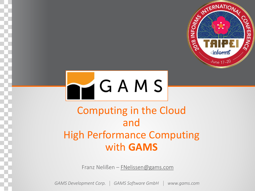



## Computing in the Cloud and High Performance Computing with **GAMS**

Franz Nelißen – [FNelissen@gams.com](mailto:FNelissen@gams.com)

*GAMS Development Corp. GAMS Software GmbH www.gams.com*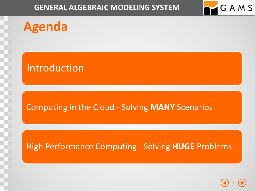

## **Agenda**

### Introduction

### Computing in the Cloud - Solving **MANY** Scenarios

### High Performance Computing - Solving **HUGE** Problems

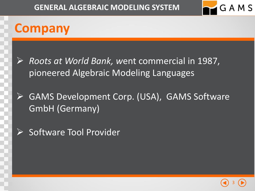

## **Company**



➢ *Roots at World Bank, w*ent commercial in 1987, pioneered Algebraic Modeling Languages

- ➢ GAMS Development Corp. (USA), GAMS Software GmbH (Germany)
- ➢ Software Tool Provider

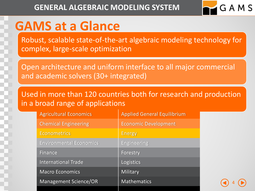

4

# **GAMS at a Glance**

Robust, scalable state-of-the-art algebraic modeling technology for complex, large-scale optimization

Open architecture and uniform interface to all major commercial and academic solvers (30+ integrated)

Used in more than 120 countries both for research and production in a broad range of applications

| <b>Agricultural Economics</b>  | <b>Applied General Equilibrium</b> |
|--------------------------------|------------------------------------|
| <b>Chemical Engineering</b>    | <b>Economic Development</b>        |
| <b>Econometrics</b>            | <b>Energy</b>                      |
| <b>Environmental Economics</b> | <b>Engineering</b>                 |
| <b>Finance</b>                 | Forestry                           |
| <b>International Trade</b>     | Logistics                          |
| <b>Macro Economics</b>         | Military                           |
| <b>Management Science/OR</b>   | <b>Mathematics</b>                 |

….. …..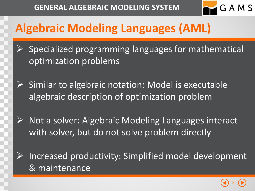

# **Algebraic Modeling Languages (AML)**

- ➢ Specialized programming languages for mathematical optimization problems
- $\triangleright$  Similar to algebraic notation: Model is executable algebraic description of optimization problem
- ➢ Not a solver: Algebraic Modeling Languages interact with solver, but do not solve problem directly
- ➢ Increased productivity: Simplified model development & maintenance

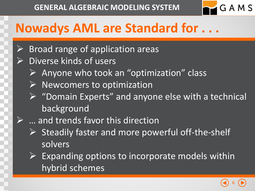

# **Nowadys AML are Standard for . . .**

- ➢ Broad range of application areas
- ➢ Diverse kinds of users
	- $\triangleright$  Anyone who took an "optimization" class
	- $\triangleright$  Newcomers to optimization
	- $\triangleright$  "Domain Experts" and anyone else with a technical background
	- ... and trends favor this direction
	- $\triangleright$  Steadily faster and more powerful off-the-shelf solvers
	- $\triangleright$  Expanding options to incorporate models within hybrid schemes

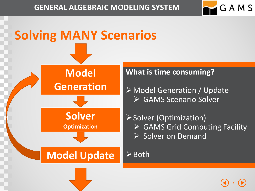

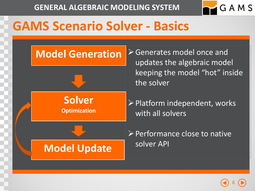

# **GAMS Scenario Solver - Basics**



➢Generates model once and updates the algebraic model keeping the model "hot" inside the solver

**Solver Optimization**

**Model Update**

➢Platform independent, works with all solvers

➢Performance close to native solver API

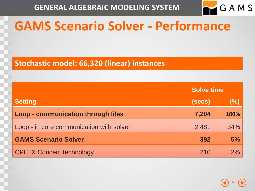

# **GAMS Scenario Solver - Performance**

#### **Stochastic model: 66,320 (linear) instances**

|                                           | <b>Solve time</b> |        |  |
|-------------------------------------------|-------------------|--------|--|
| <b>Setting</b>                            | (secs)            | $(\%)$ |  |
| <b>Loop - communication through files</b> | 7,204             | 100%   |  |
| Loop - in core communication with solver  | 2,481             | 34%    |  |
| <b>GAMS Scenario Solver</b>               | 392               | 5%     |  |
| <b>CPLEX Concert Technology</b>           | 210               | 2%     |  |

9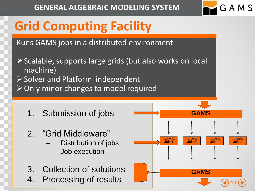

# **Grid Computing Facility**

Runs GAMS jobs in a distributed environment

- ➢Scalable, supports large grids (but also works on local machine) ➢Solver and Platform independent ➢Only minor changes to model required
	- 1. Submission of jobs
	- 2. "Grid Middleware"
		- Distribution of jobs
		- Job execution
	- 3. Collection of solutions
	- 4. Processing of results

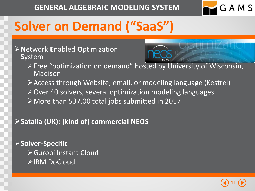

# **Solver on Demand ("SaaS")**

#### ➢**N**etwork **E**nabled **O**ptimization **S**ystem



- ➢Free "optimization on demand" hosted by University of Wisconsin, Madison
- ➢Access through Website, email, or modeling language (Kestrel)
- ➢Over 40 solvers, several optimization modeling languages
- ➢More than 537.00 total jobs submitted in 2017

### ➢**Satalia (UK): (kind of) commercial NEOS**

➢**Solver-Specific**  ➢Gurobi Instant Cloud ➢IBM DoCloud

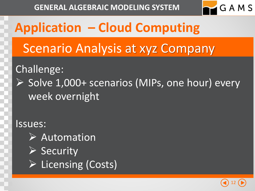

# **Application – Cloud Computing**

Scenario Analysis at xyz Company

### Challenge:

➢ Solve 1,000+ scenarios (MIPs, one hour) every week overnight

### Issues:

➢ Automation ➢ Security ➢ Licensing (Costs)

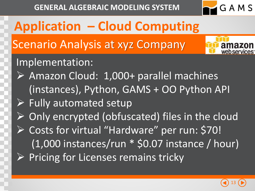

**Application – Cloud Computing** Implementation: ➢ Amazon Cloud: 1,000+ parallel machines (instances), Python, GAMS + OO Python API  $\triangleright$  Fully automated setup  $\triangleright$  Only encrypted (obfuscated) files in the cloud ➢ Costs for virtual "Hardware" per run: \$70! (1,000 instances/run \* \$0.07 instance / hour)  $\triangleright$  Pricing for Licenses remains tricky Scenario Analysis at xyz Company

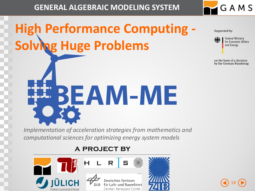

# <span id="page-13-0"></span>**High Performance Computing - Solving Huge Problems**

Supported by:



**Federal Ministry** for Economic Affairs and Energy

on the basis of a decision by the German Bundestag

14

*Implementation of acceleration strategies from mathematics and computational sciences for optimizing energy system models* 

EBEAM-ME

#### **a project by**

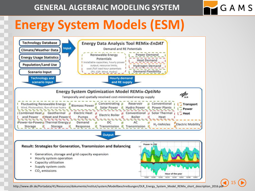

15

# **Energy System Models (ESM)**



http://www.dlr.de/Portadata/41/Resources/dokumente/institut/system/Modellbeschreibungen/DLR\_Energy\_System\_Model\_REMix\_short\_description\_2016.pd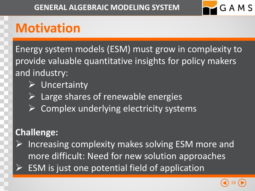

# **Motivation**

Energy system models (ESM) must grow in complexity to provide valuable quantitative insights for policy makers and industry:

### ➢ Uncertainty

- Large shares of renewable energies
- ➢ Complex underlying electricity systems

### **Challenge:**

Increasing complexity makes solving ESM more and more difficult: Need for new solution approaches ESM is just one potential field of application

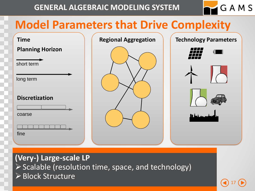

17

## **Model Parameters that Drive Complexity**



**(Very-) Large-scale LP** ➢Scalable (resolution time, space, and technology) ➢Block Structure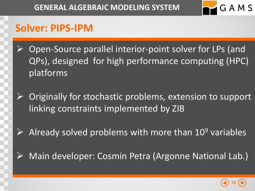

### **Solver: PIPS-IPM**

- ➢ Open-Source parallel interior-point solver for LPs (and QPs), designed for high performance computing (HPC) platforms
- $\triangleright$  Originally for stochastic problems, extension to support linking constraints implemented by ZIB
- Already solved problems with more than 10<sup>9</sup> variables
- Main developer: Cosmin Petra (Argonne National Lab.)

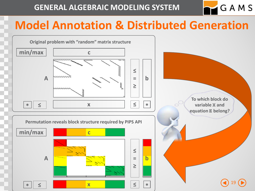## **Model Annotation & Distributed Generation**

GAMS

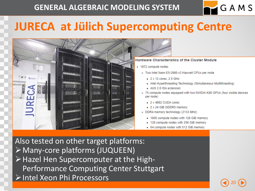## **JURECA at Jülich Supercomputing Centre**



#### **Hardware Characteristics of the Cluster Module**

- 1872 compute nodes
	- o Two Intel Xeon E5-2680 v3 Haswell CPUs per node
		- 2 x 12 cores, 2.5 GHz
		- Intel Hyperthreading Technology (Simultaneous Multithreading)
		- AVX 2.0 ISA extension
	- o 75 compute nodes equipped with two NVIDIA K80 GPUs (four visible devices per node)

20

GAMS

- $2 \times 4992$  CUDA cores
- 2 x 24 GiB GDDR5 memory
- o DDR4 memory technology (2133 MHz)
	- 1605 compute nodes with 128 GiB memory
	- 128 compute nodes with 256 GiB memory
	- 64 compute nodes with 512 GiB memory

Also tested on other target platforms: ➢Many-core platforms (JUQUEEN) ➢Hazel Hen Supercomputer at the High-Performance Computing Center Stuttgart ➢Intel Xeon Phi Processors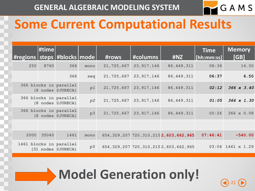

21

## **Some Current Computational Results**

|      | $\Vert$ #time |                                               |      | #rows      | #columns                  | #NZ                                          | <b>Time</b><br>$ $ [hh:mm:ss] | <b>Memory</b><br>[GB] |
|------|---------------|-----------------------------------------------|------|------------|---------------------------|----------------------------------------------|-------------------------------|-----------------------|
| 250  | 8760          | 366                                           | mono | 21,725,667 | 23, 917, 146              | 86, 449, 311                                 | 08:36                         | 16.50                 |
|      |               | 366                                           | seq  | 21,725,667 | 23, 917, 146              | 86, 449, 311                                 | 06:37                         | 6.50                  |
|      |               | 366 blocks in parallel<br>(8 nodes @JURECA)   | p1   | 21,725,667 | 23, 917, 146              | 86, 449, 311                                 | 02:12                         | 366 x 3.40            |
|      |               | 366 blocks in parallel<br>(8 nodes @JURECA)   | p2   |            | 21, 725, 667 23, 917, 146 | 86, 449, 311                                 | 01:05                         | 366 x 1.30            |
|      |               | 366 blocks in parallel<br>(8 nodes @JURECA)   | p3   | 21,725,667 | 23, 917, 146              | 86, 449, 311                                 | 00:26                         | 366 x 0.08            |
|      |               |                                               |      |            |                           |                                              |                               |                       |
| 2000 | 35040         | 1461                                          | mono |            |                           | 654, 329, 207 720, 310, 215 2, 603, 662, 965 | 07:46:41                      | ~540.00               |
|      |               | 1461 blocks in parallel<br>(31 nodes @JURECA) | p3   |            |                           | 654, 329, 207 720, 310, 215 2, 603, 662, 965 |                               | $03:04$ 1461 x 1.29   |

**Model Generation only!**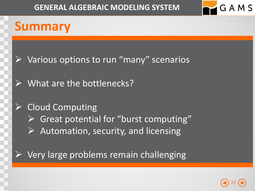

# **Summary**

- $\triangleright$  Various options to run "many" scenarios
- What are the bottlenecks?

### $\triangleright$  Cloud Computing

- ➢ Great potential for "burst computing"
- $\triangleright$  Automation, security, and licensing

### $\triangleright$  Very large problems remain challenging